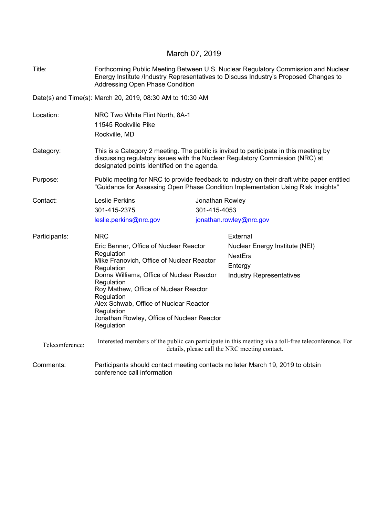## March 07, 2019

| Title:          | Forthcoming Public Meeting Between U.S. Nuclear Regulatory Commission and Nuclear<br>Energy Institute /Industry Representatives to Discuss Industry's Proposed Changes to<br>Addressing Open Phase Condition         |                 |                                 |  |  |
|-----------------|----------------------------------------------------------------------------------------------------------------------------------------------------------------------------------------------------------------------|-----------------|---------------------------------|--|--|
|                 | Date(s) and Time(s): March 20, 2019, 08:30 AM to 10:30 AM                                                                                                                                                            |                 |                                 |  |  |
| Location:       | NRC Two White Flint North, 8A-1<br>11545 Rockville Pike<br>Rockville, MD                                                                                                                                             |                 |                                 |  |  |
| Category:       | This is a Category 2 meeting. The public is invited to participate in this meeting by<br>discussing regulatory issues with the Nuclear Regulatory Commission (NRC) at<br>designated points identified on the agenda. |                 |                                 |  |  |
| Purpose:        | Public meeting for NRC to provide feedback to industry on their draft white paper entitled<br>"Guidance for Assessing Open Phase Condition Implementation Using Risk Insights"                                       |                 |                                 |  |  |
| Contact:        | <b>Leslie Perkins</b>                                                                                                                                                                                                | Jonathan Rowley |                                 |  |  |
|                 | 301-415-2375                                                                                                                                                                                                         | 301-415-4053    |                                 |  |  |
|                 | leslie.perkins@nrc.gov                                                                                                                                                                                               |                 | jonathan.rowley@nrc.gov         |  |  |
| Participants:   | <b>NRC</b>                                                                                                                                                                                                           |                 | External                        |  |  |
|                 | Eric Benner, Office of Nuclear Reactor                                                                                                                                                                               |                 | Nuclear Energy Institute (NEI)  |  |  |
|                 | Regulation<br>Mike Franovich, Office of Nuclear Reactor                                                                                                                                                              |                 | NextEra                         |  |  |
|                 | Regulation                                                                                                                                                                                                           |                 | Entergy                         |  |  |
|                 | Donna Williams, Office of Nuclear Reactor                                                                                                                                                                            |                 | <b>Industry Representatives</b> |  |  |
|                 | Regulation<br>Roy Mathew, Office of Nuclear Reactor                                                                                                                                                                  |                 |                                 |  |  |
|                 | Regulation                                                                                                                                                                                                           |                 |                                 |  |  |
|                 | Alex Schwab, Office of Nuclear Reactor<br>Regulation                                                                                                                                                                 |                 |                                 |  |  |
|                 | Jonathan Rowley, Office of Nuclear Reactor<br>Regulation                                                                                                                                                             |                 |                                 |  |  |
| Teleconference: | Interested members of the public can participate in this meeting via a toll-free teleconference. For<br>details, please call the NRC meeting contact.                                                                |                 |                                 |  |  |
| Comments:       | Participants should contact meeting contacts no later March 19, 2019 to obtain<br>conference call information                                                                                                        |                 |                                 |  |  |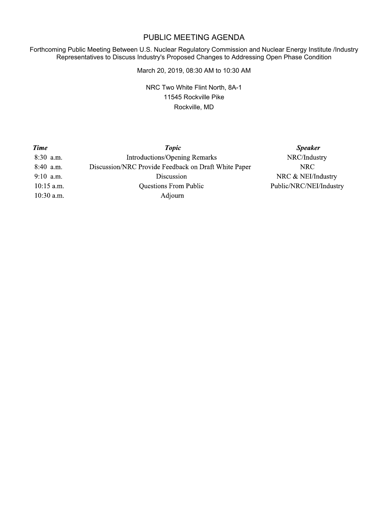## PUBLIC MEETING AGENDA

Forthcoming Public Meeting Between U.S. Nuclear Regulatory Commission and Nuclear Energy Institute /Industry Representatives to Discuss Industry's Proposed Changes to Addressing Open Phase Condition

March 20, 2019, 08:30 AM to 10:30 AM

NRC Two White Flint North, 8A-1 11545 Rockville Pike Rockville, MD

| <b>Time</b>  | <b>Topic</b>                                         | <b>Speaker</b>          |
|--------------|------------------------------------------------------|-------------------------|
| 8:30 a.m.    | <b>Introductions/Opening Remarks</b>                 | NRC/Industry            |
| 8:40 a.m.    | Discussion/NRC Provide Feedback on Draft White Paper | NRC.                    |
| $9:10$ a.m.  | Discussion                                           | NRC & NEI/Industry      |
| $10:15$ a.m. | <b>Questions From Public</b>                         | Public/NRC/NEI/Industry |
| $10:30$ a.m. | Adjourn                                              |                         |